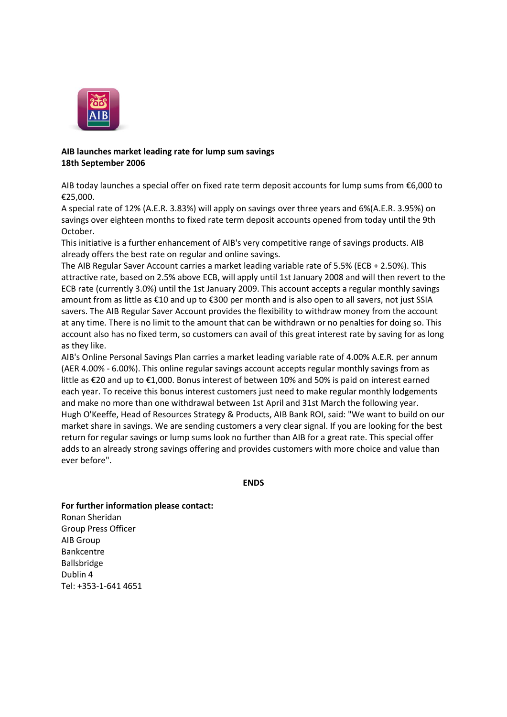

## **AIB launches market leading rate for lump sum savings 18th September 2006**

AIB today launches a special offer on fixed rate term deposit accounts for lump sums from €6,000 to €25,000.

A special rate of 12% (A.E.R. 3.83%) will apply on savings over three years and 6%(A.E.R. 3.95%) on savings over eighteen months to fixed rate term deposit accounts opened from today until the 9th October.

This initiative is a further enhancement of AIB's very competitive range of savings products. AIB already offers the best rate on regular and online savings.

The AIB Regular Saver Account carries a market leading variable rate of 5.5% (ECB + 2.50%). This attractive rate, based on 2.5% above ECB, will apply until 1st January 2008 and will then revert to the ECB rate (currently 3.0%) until the 1st January 2009. This account accepts a regular monthly savings amount from as little as €10 and up to €300 per month and is also open to all savers, not just SSIA savers. The AIB Regular Saver Account provides the flexibility to withdraw money from the account at any time. There is no limit to the amount that can be withdrawn or no penalties for doing so. This account also has no fixed term, so customers can avail of this great interest rate by saving for as long as they like.

AIB's Online Personal Savings Plan carries a market leading variable rate of 4.00% A.E.R. per annum (AER 4.00% - 6.00%). This online regular savings account accepts regular monthly savings from as little as €20 and up to €1,000. Bonus interest of between 10% and 50% is paid on interest earned each year. To receive this bonus interest customers just need to make regular monthly lodgements and make no more than one withdrawal between 1st April and 31st March the following year. Hugh O'Keeffe, Head of Resources Strategy & Products, AIB Bank ROI, said: "We want to build on our market share in savings. We are sending customers a very clear signal. If you are looking for the best return for regular savings or lump sums look no further than AIB for a great rate. This special offer adds to an already strong savings offering and provides customers with more choice and value than ever before".

**ENDS**

## **For further information please contact:**

Ronan Sheridan Group Press Officer AIB Group Bankcentre Ballsbridge Dublin 4 Tel: +353-1-641 4651